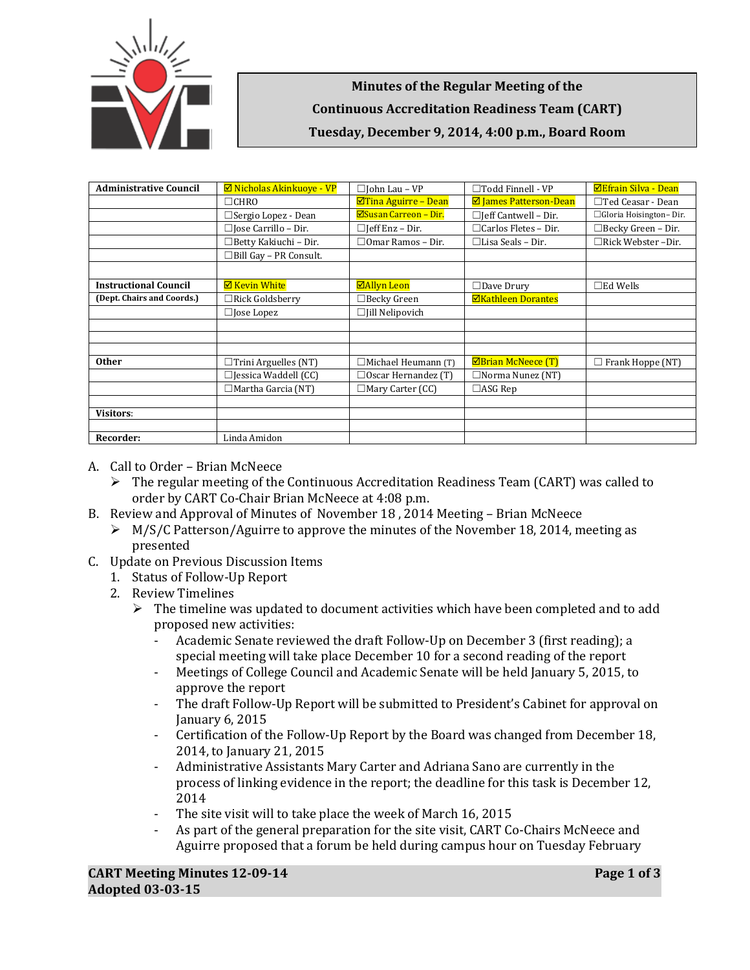

**Minutes of the Regular Meeting of the Continuous Accreditation Readiness Team (CART) Tuesday, December 9, 2014, 4:00 p.m., Board Room**

| <b>Administrative Council</b> | <b>Ø</b> Nicholas Akinkuove - VP | $\Box$ John Lau - VP         | $\Box$ Todd Finnell - VP        | <b>ØEfrain Silva - Dean</b> |
|-------------------------------|----------------------------------|------------------------------|---------------------------------|-----------------------------|
|                               | $\Box$ CHRO                      | $\Delta$ Tina Aguirre – Dean | <b>Ø</b> James Patterson-Dean   | $\Box$ Ted Ceasar - Dean    |
|                               | $\Box$ Sergio Lopez - Dean       | <b>ØSusan Carreon - Dir.</b> | $\Box$ [eff Cantwell – Dir.     | □ Gloria Hoisington-Dir.    |
|                               | $\Box$ Jose Carrillo – Dir.      | $\Box$ [eff Enz – Dir.       | $\Box$ Carlos Fletes - Dir.     | $\Box$ Becky Green - Dir.   |
|                               | □Betty Kakiuchi - Dir.           | $\Box$ Omar Ramos – Dir.     | $\Box$ Lisa Seals – Dir.        | $\Box$ Rick Webster-Dir.    |
|                               | □Bill Gay - PR Consult.          |                              |                                 |                             |
|                               |                                  |                              |                                 |                             |
| <b>Instructional Council</b>  | <b>☑ Kevin White</b>             | <b>⊠Allyn Leon</b>           | $\Box$ Dave Drury               | $\square$ Ed Wells          |
| (Dept. Chairs and Coords.)    | $\Box$ Rick Goldsberry           | $\Box$ Becky Green           | <b>ØKathleen Dorantes</b>       |                             |
|                               | $\Box$ Jose Lopez                | $\Box$ [ill Nelipovich       |                                 |                             |
|                               |                                  |                              |                                 |                             |
|                               |                                  |                              |                                 |                             |
|                               |                                  |                              |                                 |                             |
| <b>Other</b>                  | $\Box$ Trini Arguelles (NT)      | $\Box$ Michael Heumann (T)   | $\boxtimes$ Brian McNeece $(T)$ | $\Box$ Frank Hoppe (NT)     |
|                               | $\Box$ Jessica Waddell (CC)      | $\Box$ Oscar Hernandez (T)   | $\Box$ Norma Nunez (NT)         |                             |
|                               | $\Box$ Martha Garcia (NT)        | $\Box$ Mary Carter (CC)      | $\Box$ ASG Rep                  |                             |
|                               |                                  |                              |                                 |                             |
| <b>Visitors:</b>              |                                  |                              |                                 |                             |
|                               |                                  |                              |                                 |                             |
| Recorder:                     | Linda Amidon                     |                              |                                 |                             |

- A. Call to Order Brian McNeece
	- $\triangleright$  The regular meeting of the Continuous Accreditation Readiness Team (CART) was called to order by CART Co-Chair Brian McNeece at 4:08 p.m.
- B. Review and Approval of Minutes of November 18 , 2014 Meeting Brian McNeece
	- $\triangleright$  M/S/C Patterson/Aguirre to approve the minutes of the November 18, 2014, meeting as presented
- C. Update on Previous Discussion Items
	- 1. Status of Follow-Up Report
	- 2. Review Timelines
		- $\triangleright$  The timeline was updated to document activities which have been completed and to add proposed new activities:
			- Academic Senate reviewed the draft Follow-Up on December 3 (first reading); a special meeting will take place December 10 for a second reading of the report
			- Meetings of College Council and Academic Senate will be held January 5, 2015, to approve the report
			- The draft Follow-Up Report will be submitted to President's Cabinet for approval on January 6, 2015
			- Certification of the Follow-Up Report by the Board was changed from December 18, 2014, to January 21, 2015
			- Administrative Assistants Mary Carter and Adriana Sano are currently in the process of linking evidence in the report; the deadline for this task is December 12, 2014
			- The site visit will to take place the week of March 16, 2015
			- As part of the general preparation for the site visit, CART Co-Chairs McNeece and Aguirre proposed that a forum be held during campus hour on Tuesday February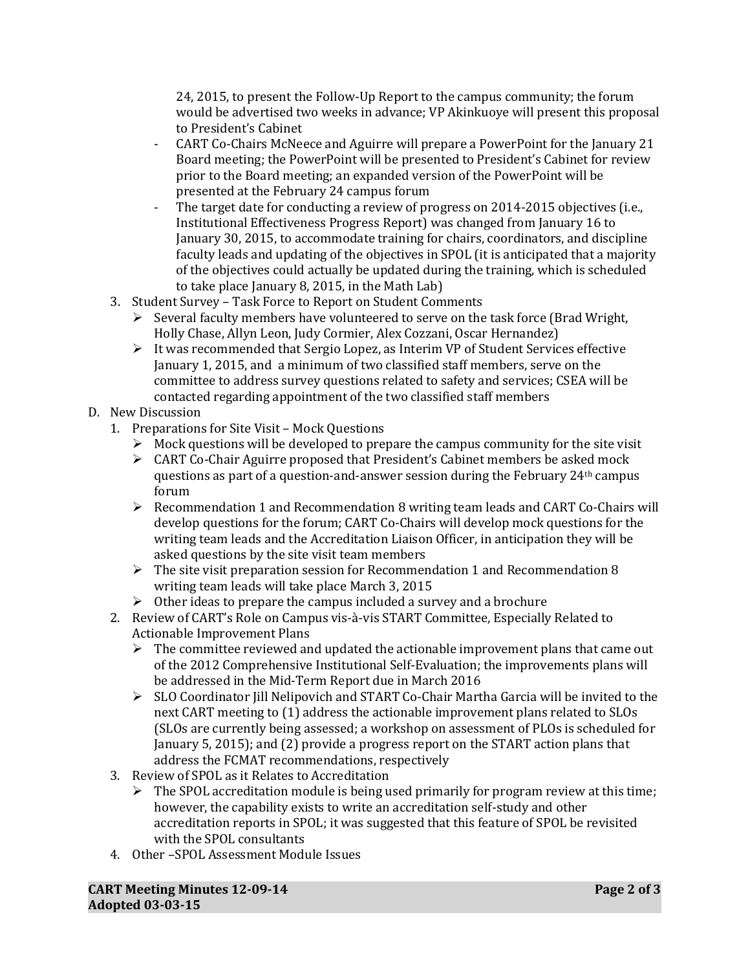24, 2015, to present the Follow-Up Report to the campus community; the forum would be advertised two weeks in advance; VP Akinkuoye will present this proposal to President's Cabinet

- CART Co-Chairs McNeece and Aguirre will prepare a PowerPoint for the January 21 Board meeting; the PowerPoint will be presented to President's Cabinet for review prior to the Board meeting; an expanded version of the PowerPoint will be presented at the February 24 campus forum
- The target date for conducting a review of progress on 2014-2015 objectives (i.e., Institutional Effectiveness Progress Report) was changed from January 16 to January 30, 2015, to accommodate training for chairs, coordinators, and discipline faculty leads and updating of the objectives in SPOL (it is anticipated that a majority of the objectives could actually be updated during the training, which is scheduled to take place January 8, 2015, in the Math Lab)
- 3. Student Survey Task Force to Report on Student Comments
	- $\triangleright$  Several faculty members have volunteered to serve on the task force (Brad Wright, Holly Chase, Allyn Leon, Judy Cormier, Alex Cozzani, Oscar Hernandez)
	- $\triangleright$  It was recommended that Sergio Lopez, as Interim VP of Student Services effective January 1, 2015, and a minimum of two classified staff members, serve on the committee to address survey questions related to safety and services; CSEA will be contacted regarding appointment of the two classified staff members
- D. New Discussion
	- 1. Preparations for Site Visit Mock Questions
		- $\triangleright$  Mock questions will be developed to prepare the campus community for the site visit
		- $\triangleright$  CART Co-Chair Aguirre proposed that President's Cabinet members be asked mock questions as part of a question-and-answer session during the February  $24<sup>th</sup>$  campus forum
		- $\triangleright$  Recommendation 1 and Recommendation 8 writing team leads and CART Co-Chairs will develop questions for the forum; CART Co-Chairs will develop mock questions for the writing team leads and the Accreditation Liaison Officer, in anticipation they will be asked questions by the site visit team members
		- $\triangleright$  The site visit preparation session for Recommendation 1 and Recommendation 8 writing team leads will take place March 3, 2015
		- $\triangleright$  Other ideas to prepare the campus included a survey and a brochure
	- 2. Review of CART's Role on Campus vis-à-vis START Committee, Especially Related to Actionable Improvement Plans
		- $\triangleright$  The committee reviewed and updated the actionable improvement plans that came out of the 2012 Comprehensive Institutional Self-Evaluation; the improvements plans will be addressed in the Mid-Term Report due in March 2016
		- $\triangleright$  SLO Coordinator Jill Nelipovich and START Co-Chair Martha Garcia will be invited to the next CART meeting to (1) address the actionable improvement plans related to SLOs (SLOs are currently being assessed; a workshop on assessment of PLOs is scheduled for January 5, 2015); and (2) provide a progress report on the START action plans that address the FCMAT recommendations, respectively
	- 3. Review of SPOL as it Relates to Accreditation
		- $\triangleright$  The SPOL accreditation module is being used primarily for program review at this time; however, the capability exists to write an accreditation self-study and other accreditation reports in SPOL; it was suggested that this feature of SPOL be revisited with the SPOL consultants
	- 4. Other –SPOL Assessment Module Issues